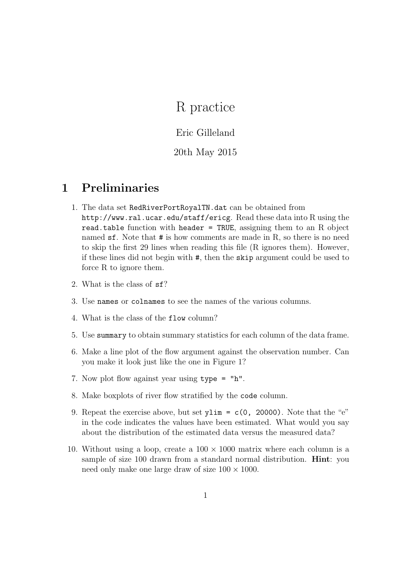# R practice

Eric Gilleland

#### 20th May 2015

## 1 Preliminaries

- 1. The data set RedRiverPortRoyalTN.dat can be obtained from http://www.ral.ucar.edu/staff/ericg. Read these data into R using the read.table function with header = TRUE, assigning them to an R object named sf. Note that # is how comments are made in R, so there is no need to skip the first 29 lines when reading this file (R ignores them). However, if these lines did not begin with #, then the skip argument could be used to force R to ignore them.
- 2. What is the class of sf?
- 3. Use names or colnames to see the names of the various columns.
- 4. What is the class of the flow column?
- 5. Use summary to obtain summary statistics for each column of the data frame.
- 6. Make a line plot of the flow argument against the observation number. Can you make it look just like the one in Figure 1?
- 7. Now plot flow against year using type = "h".
- 8. Make boxplots of river flow stratified by the code column.
- 9. Repeat the exercise above, but set  $v \lim = c(0, 20000)$ . Note that the "e" in the code indicates the values have been estimated. What would you say about the distribution of the estimated data versus the measured data?
- 10. Without using a loop, create a  $100 \times 1000$  matrix where each column is a sample of size 100 drawn from a standard normal distribution. Hint: you need only make one large draw of size  $100 \times 1000$ .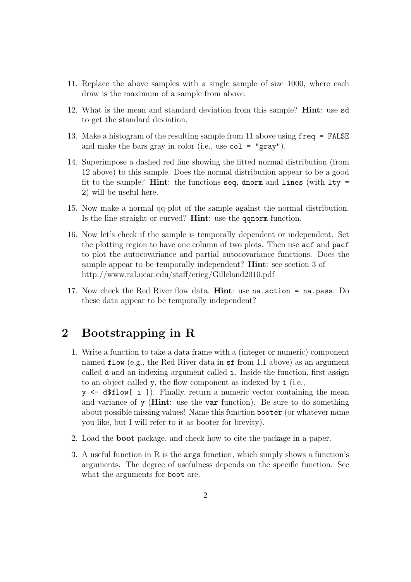- 11. Replace the above samples with a single sample of size 1000, where each draw is the maximum of a sample from above.
- 12. What is the mean and standard deviation from this sample? Hint: use sd to get the standard deviation.
- 13. Make a histogram of the resulting sample from 11 above using freq = FALSE and make the bars gray in color (i.e., use  $col = "gray".$
- 14. Superimpose a dashed red line showing the fitted normal distribution (from 12 above) to this sample. Does the normal distribution appear to be a good fit to the sample? Hint: the functions seq, dnorm and lines (with  $l$ ty = 2) will be useful here.
- 15. Now make a normal qq-plot of the sample against the normal distribution. Is the line straight or curved? Hint: use the qqnorm function.
- 16. Now let's check if the sample is temporally dependent or independent. Set the plotting region to have one column of two plots. Then use acf and pacf to plot the autocovariance and partial autocovariance functions. Does the sample appear to be temporally independent? Hint: see section 3 of http://www.ral.ucar.edu/staff/ericg/Gilleland2010.pdf
- 17. Now check the Red River flow data. **Hint**: use  $na$  action =  $na$  pass. Do these data appear to be temporally independent?

### 2 Bootstrapping in R

- 1. Write a function to take a data frame with a (integer or numeric) component named flow (e.g., the Red River data in sf from 1.1 above) as an argument called d and an indexing argument called i. Inside the function, first assign to an object called y, the flow component as indexed by i (i.e.,
	- y <- d\$flow[ i ]). Finally, return a numeric vector containing the mean and variance of y (Hint: use the var function). Be sure to do something about possible missing values! Name this function booter (or whatever name you like, but I will refer to it as booter for brevity).
- 2. Load the boot package, and check how to cite the package in a paper.
- 3. A useful function in R is the args function, which simply shows a function's arguments. The degree of usefulness depends on the specific function. See what the arguments for boot are.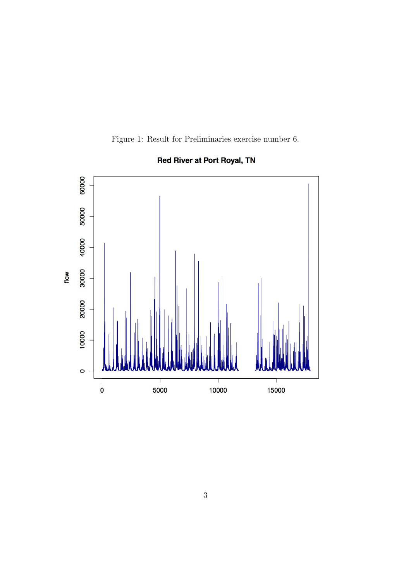Figure 1: Result for Preliminaries exercise number 6.



**Red River at Port Royal, TN**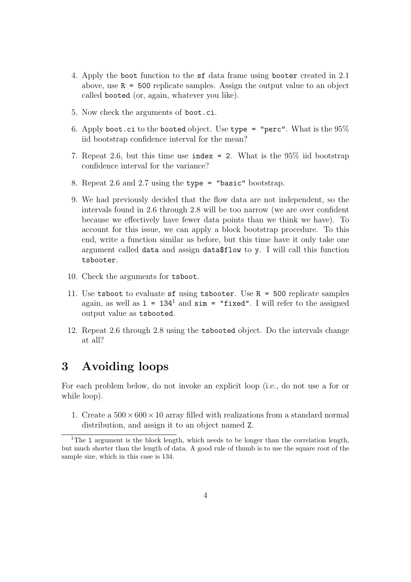- 4. Apply the boot function to the sf data frame using booter created in 2.1 above, use R = 500 replicate samples. Assign the output value to an object called booted (or, again, whatever you like).
- 5. Now check the arguments of boot.ci.
- 6. Apply boot.ci to the booted object. Use type = "perc". What is the  $95\%$ iid bootstrap confidence interval for the mean?
- 7. Repeat 2.6, but this time use index = 2. What is the 95% iid bootstrap confidence interval for the variance?
- 8. Repeat 2.6 and 2.7 using the type = "basic" bootstrap.
- 9. We had previously decided that the flow data are not independent, so the intervals found in 2.6 through 2.8 will be too narrow (we are over confident because we effectively have fewer data points than we think we have). To account for this issue, we can apply a block bootstrap procedure. To this end, write a function similar as before, but this time have it only take one argument called data and assign data\$flow to y. I will call this function tsbooter.
- 10. Check the arguments for tsboot.
- 11. Use tsboot to evaluate sf using tsbooter. Use  $R = 500$  replicate samples again, as well as  $1 = 134^1$  and  $\sin =$  "fixed". I will refer to the assigned output value as tsbooted.
- 12. Repeat 2.6 through 2.8 using the tsbooted object. Do the intervals change at all?

#### 3 Avoiding loops

For each problem below, do not invoke an explicit loop (i.e., do not use a for or while loop).

1. Create a  $500 \times 600 \times 10$  array filled with realizations from a standard normal distribution, and assign it to an object named Z.

<sup>&</sup>lt;sup>1</sup>The 1 argument is the block length, which needs to be longer than the correlation length, but much shorter than the length of data. A good rule of thumb is to use the square root of the sample size, which in this case is 134.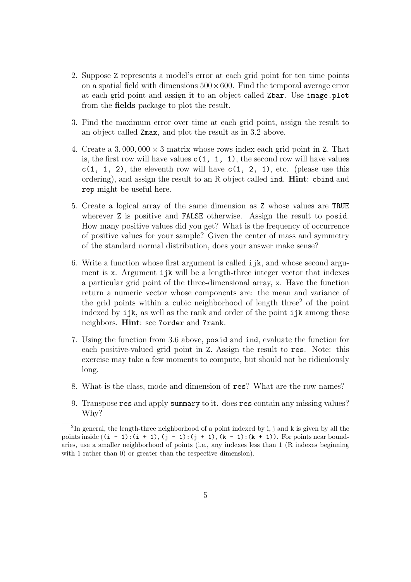- 2. Suppose Z represents a model's error at each grid point for ten time points on a spatial field with dimensions  $500 \times 600$ . Find the temporal average error at each grid point and assign it to an object called Zbar. Use image.plot from the fields package to plot the result.
- 3. Find the maximum error over time at each grid point, assign the result to an object called Zmax, and plot the result as in 3.2 above.
- 4. Create a 3,000,000  $\times$  3 matrix whose rows index each grid point in Z. That is, the first row will have values  $c(1, 1, 1)$ , the second row will have values  $c(1, 1, 2)$ , the eleventh row will have  $c(1, 2, 1)$ , etc. (please use this ordering), and assign the result to an R object called ind. Hint: cbind and rep might be useful here.
- 5. Create a logical array of the same dimension as Z whose values are TRUE wherever Z is positive and **FALSE** otherwise. Assign the result to posid. How many positive values did you get? What is the frequency of occurrence of positive values for your sample? Given the center of mass and symmetry of the standard normal distribution, does your answer make sense?
- 6. Write a function whose first argument is called ijk, and whose second argument is x. Argument ijk will be a length-three integer vector that indexes a particular grid point of the three-dimensional array, x. Have the function return a numeric vector whose components are: the mean and variance of the grid points within a cubic neighborhood of length three<sup>2</sup> of the point indexed by ijk, as well as the rank and order of the point ijk among these neighbors. Hint: see ?order and ?rank.
- 7. Using the function from 3.6 above, posid and ind, evaluate the function for each positive-valued grid point in Z. Assign the result to res. Note: this exercise may take a few moments to compute, but should not be ridiculously long.
- 8. What is the class, mode and dimension of res? What are the row names?
- 9. Transpose res and apply summary to it. does res contain any missing values? Why?

<sup>&</sup>lt;sup>2</sup>In general, the length-three neighborhood of a point indexed by i, j and k is given by all the points inside  $((i - 1):(i + 1), (j - 1):(j + 1), (k - 1):(k + 1))$ . For points near boundaries, use a smaller neighborhood of points (i.e., any indexes less than 1 (R indexes beginning with 1 rather than 0) or greater than the respective dimension).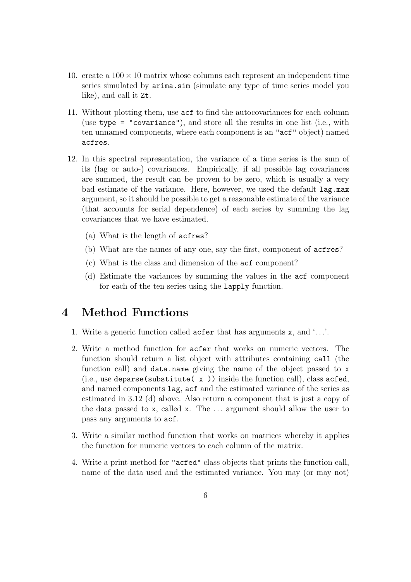- 10. create a  $100 \times 10$  matrix whose columns each represent an independent time series simulated by arima.sim (simulate any type of time series model you like), and call it Zt.
- 11. Without plotting them, use acf to find the autocovariances for each column (use type = "covariance"), and store all the results in one list (i.e., with ten unnamed components, where each component is an "acf" object) named acfres.
- 12. In this spectral representation, the variance of a time series is the sum of its (lag or auto-) covariances. Empirically, if all possible lag covariances are summed, the result can be proven to be zero, which is usually a very bad estimate of the variance. Here, however, we used the default lag.max argument, so it should be possible to get a reasonable estimate of the variance (that accounts for serial dependence) of each series by summing the lag covariances that we have estimated.
	- (a) What is the length of acfres?
	- (b) What are the names of any one, say the first, component of acfres?
	- (c) What is the class and dimension of the acf component?
	- (d) Estimate the variances by summing the values in the acf component for each of the ten series using the lapply function.

#### 4 Method Functions

- 1. Write a generic function called acfer that has arguments x, and '. . .'.
- 2. Write a method function for acfer that works on numeric vectors. The function should return a list object with attributes containing call (the function call) and data.name giving the name of the object passed to x (i.e., use deparse(substitute( $x$ )) inside the function call), class acfed, and named components lag, acf and the estimated variance of the series as estimated in 3.12 (d) above. Also return a component that is just a copy of the data passed to x, called x. The . . . argument should allow the user to pass any arguments to acf.
- 3. Write a similar method function that works on matrices whereby it applies the function for numeric vectors to each column of the matrix.
- 4. Write a print method for "acfed" class objects that prints the function call, name of the data used and the estimated variance. You may (or may not)